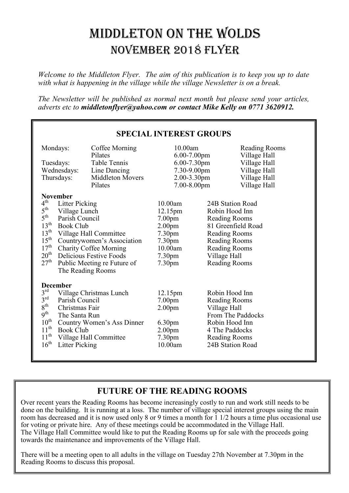# MIDDLETON ON THE WOLDS NOVEMBER 2018 FLYER

*Welcome to the Middleton Flyer. The aim of this publication is to keep you up to date with what is happening in the village while the village Newsletter is on a break.* 

*The Newsletter will be published as normal next month but please send your articles, adverts etc to middletonflyer@yahoo.com or contact Mike Kelly on 0771 3620912.*

| <b>SPECIAL INTEREST GROUPS</b>                    |                                            |                             |               |                               |  |
|---------------------------------------------------|--------------------------------------------|-----------------------------|---------------|-------------------------------|--|
| Mondays:                                          | Coffee Morning<br>Pilates                  | 10.00am<br>$6.00 - 7.00$ pm |               | Reading Rooms<br>Village Hall |  |
| Tuesdays:                                         | Table Tennis                               | $6.00 - 7.30$ pm            |               | Village Hall                  |  |
| Wednesdays:                                       | Line Dancing                               | 7.30-9.00pm                 |               | Village Hall                  |  |
| Thursdays:                                        | <b>Middleton Movers</b>                    | 2.00-3.30pm                 |               | Village Hall                  |  |
|                                                   | Pilates                                    | 7.00-8.00pm                 |               | Village Hall                  |  |
| <b>November</b>                                   |                                            |                             |               |                               |  |
| $4^{\text{th}}$<br><b>Litter Picking</b>          |                                            | 10.00am                     |               | 24B Station Road              |  |
| $5^{\text{th}}$<br>Village Lunch                  |                                            | 12.15pm                     |               | Robin Hood Inn                |  |
| $5^{\text{th}}$<br>Parish Council                 |                                            | 7.00 <sub>pm</sub>          |               | <b>Reading Rooms</b>          |  |
| $13^{\text{th}}$<br><b>Book Club</b>              |                                            | 2.00 <sub>pm</sub>          |               | 81 Greenfield Road            |  |
| $13^{\text{th}}$<br>Village Hall Committee        |                                            | 7.30 <sub>pm</sub>          |               | <b>Reading Rooms</b>          |  |
| $15^{\text{th}}$<br>Countrywomen's Association    |                                            | 7.30pm                      |               | <b>Reading Rooms</b>          |  |
| $17^{\text{th}}$<br><b>Charity Coffee Morning</b> |                                            | 10.00am                     |               | <b>Reading Rooms</b>          |  |
| $20^{\rm th}$<br><b>Delicious Festive Foods</b>   |                                            | 7.30 <sub>pm</sub>          |               | Village Hall                  |  |
| $27^{\rm th}$<br>Public Meeting re Future of      |                                            | 7.30 <sub>pm</sub>          | Reading Rooms |                               |  |
|                                                   | The Reading Rooms                          |                             |               |                               |  |
| <b>December</b>                                   |                                            |                             |               |                               |  |
| $3^{\text{rd}}$                                   | Village Christmas Lunch                    |                             |               | Robin Hood Inn                |  |
| $3^{\text{rd}}$                                   | Parish Council                             |                             |               | <b>Reading Rooms</b>          |  |
| $8^{\text{th}}$<br>Christmas Fair                 |                                            | 2.00 <sub>pm</sub>          |               | Village Hall                  |  |
| 9 <sup>th</sup><br>The Santa Run                  |                                            |                             |               | From The Paddocks             |  |
| $10^{\text{th}}$                                  | Country Women's Ass Dinner                 |                             |               | Robin Hood Inn                |  |
| $11^{\text{th}}$                                  | <b>Book Club</b>                           |                             |               | 4 The Paddocks                |  |
|                                                   | $11^{\text{th}}$<br>Village Hall Committee |                             |               | <b>Reading Rooms</b>          |  |
| $16^{\text{th}}$<br><b>Litter Picking</b>         |                                            | 10.00am                     |               | 24B Station Road              |  |
|                                                   |                                            |                             |               |                               |  |

#### **FUTURE OF THE READING ROOMS**

Over recent years the Reading Rooms has become increasingly costly to run and work still needs to be done on the building. It is running at a loss. The number of village special interest groups using the main room has decreased and it is now used only 8 or 9 times a month for 1 1/2 hours a time plus occasional use for voting or private hire. Any of these meetings could be accommodated in the Village Hall. The Village Hall Committee would like to put the Reading Rooms up for sale with the proceeds going towards the maintenance and improvements of the Village Hall.

There will be a meeting open to all adults in the village on Tuesday 27th November at 7.30pm in the Reading Rooms to discuss this proposal.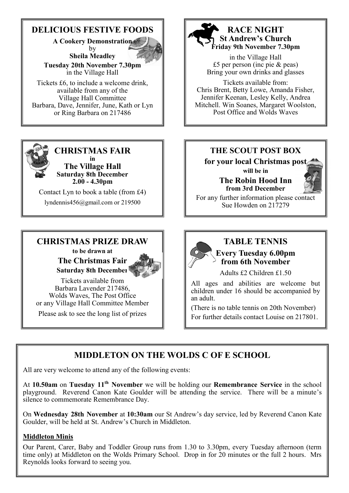### **DELICIOUS FESTIVE FOODS**

**A Cookery Demonstration** 

by **Sheila Meadley** 



**Tuesday 20th November 7.30pm**  in the Village Hall

Tickets £6, to include a welcome drink, available from any of the Village Hall Committee Barbara, Dave, Jennifer, June, Kath or Lyn or Ring Barbara on 217486



#### **CHRISTMAS FAIR in**

**The Village Hall Saturday 8th December 2.00 - 4.30pm**

Contact Lyn to book a table (from £4) lyndennis456@gmail.com or 219500

#### **CHRISTMAS PRIZE DRAW to be drawn at**

**The Christmas Fair Saturday 8th December**



Tickets available from Barbara Lavender 217486, Wolds Waves, The Post Office or any Village Hall Committee Member Please ask to see the long list of prizes



#### **RACE NIGHT St Andrew's Church Friday 9th November 7.30pm**

in the Village Hall £5 per person (inc pie & peas) Bring your own drinks and glasses

Tickets available from: Chris Brent, Betty Lowe, Amanda Fisher, Jennifer Keenan, Lesley Kelly, Andrea Mitchell. Win Soanes, Margaret Woolston, Post Office and Wolds Waves

#### **THE SCOUT POST BOX**

**for your local Christmas post** 

**will be in The Robin Hood Inn from 3rd December**



For any further information please contact Sue Howden on 217279



# **TABLE TENNIS**

**Every Tuesday 6.00pm from 6th November** 

Adults £2 Children £1.50

All ages and abilities are welcome but children under 16 should be accompanied by an adult.

(There is no table tennis on 20th November) For further details contact Louise on 217801.

# **MIDDLETON ON THE WOLDS C OF E SCHOOL**

All are very welcome to attend any of the following events:

At **10.50am** on **Tuesday 11th November** we will be holding our **Remembrance Service** in the school playground. Reverend Canon Kate Goulder will be attending the service. There will be a minute's silence to commemorate Remembrance Day.

On **Wednesday 28th November** at **10:30am** our St Andrew's day service, led by Reverend Canon Kate Goulder, will be held at St. Andrew's Church in Middleton.

#### **Middleton Minis**

Our Parent, Carer, Baby and Toddler Group runs from 1.30 to 3.30pm, every Tuesday afternoon (term time only) at Middleton on the Wolds Primary School. Drop in for 20 minutes or the full 2 hours. Mrs Reynolds looks forward to seeing you.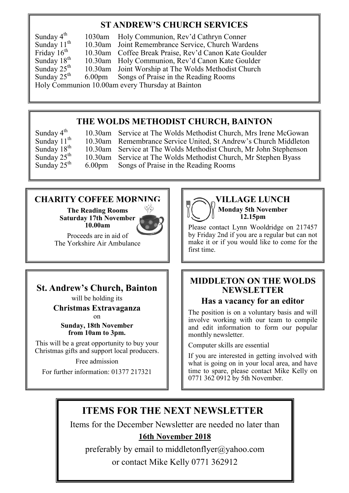### **ST ANDREW'S CHURCH SERVICES**

Sunday  $4^{\text{th}}$  1030am Holy Communion, Rev'd Cathryn Conner<br>Sunday  $11^{\text{th}}$  10.30am Joint Remembrance Service, Church Ward Sunday  $11^{th}$  10.30am Joint Remembrance Service, Church Wardens Friday  $16^{th}$  10.30am Coffee Break Praise, Rev'd Canon Kate Gould Friday 16<sup>th</sup> 10.30am Coffee Break Praise, Rev'd Canon Kate Goulder<br>Sunday 18<sup>th</sup> 10.30am Holy Communion, Rev'd Canon Kate Goulder Sunday  $18^{th}$  10.30am Holy Communion, Rev'd Canon Kate Goulder<br>Sunday  $25^{th}$  10.30am Joint Worship at The Wolds Methodist Church Sunday  $25^{th}$  10.30am Joint Worship at The Wolds Methodist Church<br>Sunday  $25^{th}$  6.00pm Songs of Praise in the Reading Rooms 6.00pm Songs of Praise in the Reading Rooms Holy Communion 10.00am every Thursday at Bainton

#### **THE WOLDS METHODIST CHURCH, BAINTON**

Sunday  $4^{\text{th}}$  10.30am Service at The Wolds Methodist Church, Mrs Irene McGowan Sunday  $11^{\text{th}}$  10.30am Remembrance Service United, St Andrew's Church Middleton Sunday  $11^{th}$  10.30am Remembrance Service United, St Andrew's Church Middleton Sunday  $18^{th}$  10.30am Service at The Wolds Methodist Church, Mr John Stephenson Sunday  $18^{th}$  10.30am Service at The Wolds Methodist Church, Mr John Stephenson Sunday  $25^{th}$  10.30am Service at The Wolds Methodist Church, Mr Stephen Byass Sunday  $25^{th}$  10.30am Service at The Wolds Methodist Church, Mr Stephen Byass Sunday  $25^{th}$  6.00pm Songs of Praise in the Reading Rooms 6.00pm Songs of Praise in the Reading Rooms

#### **CHARITY COFFEE MORNING**

**The Reading Rooms Saturday 17th November 10.00am**



Proceeds are in aid of The Yorkshire Air Ambulance

#### **St. Andrew's Church, Bainton**

will be holding its **Christmas Extravaganza**

 $\alpha$ n **Sunday, 18th November from 10am to 3pm.** 

This will be a great opportunity to buy your Christmas gifts and support local producers.

Free admission

For further information: 01377 217321



Please contact Lynn Wooldridge on 217457 by Friday 2nd if you are a regular but can not make it or if you would like to come for the first time.

#### **MIDDLETON ON THE WOLDS NEWSLETTER**

#### **Has a vacancy for an editor**

The position is on a voluntary basis and will involve working with our team to compile and edit information to form our popular monthly newsletter.

Computer skills are essential

If you are interested in getting involved with what is going on in your local area, and have time to spare, please contact Mike Kelly on 0771 362 0912 by 5th November.

# **ITEMS FOR THE NEXT NEWSLETTER**

Items for the December Newsletter are needed no later than

#### **16th November 2018**

preferably by email to middletonflyer@yahoo.com or contact Mike Kelly 0771 362912